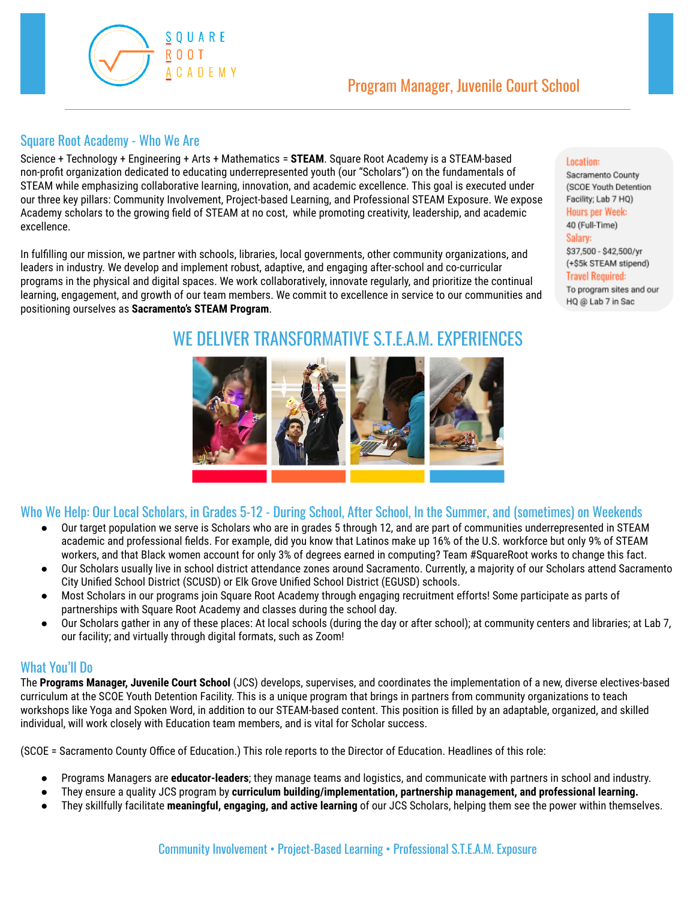

#### Square Root Academy - Who We Are

Science + Technology + Engineering + Arts + Mathematics = **STEAM**. Square Root Academy is a STEAM-based non-profit organization dedicated to educating underrepresented youth (our "Scholars") on the fundamentals of STEAM while emphasizing collaborative learning, innovation, and academic excellence. This goal is executed under our three key pillars: Community Involvement, Project-based Learning, and Professional STEAM Exposure. We expose Academy scholars to the growing field of STEAM at no cost, while promoting creativity, leadership, and academic excellence.

In fulfilling our mission, we partner with schools, libraries, local governments, other community organizations, and leaders in industry. We develop and implement robust, adaptive, and engaging after-school and co-curricular programs in the physical and digital spaces. We work collaboratively, innovate regularly, and prioritize the continual learning, engagement, and growth of our team members. We commit to excellence in service to our communities and positioning ourselves as **Sacramento's STEAM Program**.

#### Location:

Sacramento County (SCOE Youth Detention Facility; Lab 7 HQ) **Hours per Week:** 40 (Full-Time) Salary: \$37,500 - \$42,500/yr (+\$5k STEAM stipend) **Travel Required:** To program sites and our HQ @ Lab 7 in Sac

# WE DELIVER TRANSFORMATIVE S.T.E.A.M. EXPERIENCES



### Who We Help: Our Local Scholars, in Grades 5-12 - During School, After School, In the Summer, and (sometimes) on Weekends

- Our target population we serve is Scholars who are in grades 5 through 12, and are part of communities underrepresented in STEAM academic and professional fields. For example, did you know that Latinos make up 16% of the U.S. workforce but only 9% of STEAM workers, and that Black women account for only 3% of degrees earned in computing? Team #SquareRoot works to change this fact.
- Our Scholars usually live in school district attendance zones around Sacramento. Currently, a majority of our Scholars attend Sacramento City Unified School District (SCUSD) or Elk Grove Unified School District (EGUSD) schools.
- Most Scholars in our programs join Square Root Academy through engaging recruitment efforts! Some participate as parts of partnerships with Square Root Academy and classes during the school day.
- Our Scholars gather in any of these places: At local schools (during the day or after school); at community centers and libraries; at Lab 7, our facility; and virtually through digital formats, such as Zoom!

### What You'll Do

The **Programs Manager, Juvenile Court School** (JCS) develops, supervises, and coordinates the implementation of a new, diverse electives-based curriculum at the SCOE Youth Detention Facility. This is a unique program that brings in partners from community organizations to teach workshops like Yoga and Spoken Word, in addition to our STEAM-based content. This position is filled by an adaptable, organized, and skilled individual, will work closely with Education team members, and is vital for Scholar success.

(SCOE = Sacramento County Office of Education.) This role reports to the Director of Education. Headlines of this role:

- Programs Managers are **educator-leaders**; they manage teams and logistics, and communicate with partners in school and industry.
- They ensure a quality JCS program by **curriculum building/implementation, partnership management, and professional learning.**
- They skillfully facilitate **meaningful, engaging, and active learning** of our JCS Scholars, helping them see the power within themselves.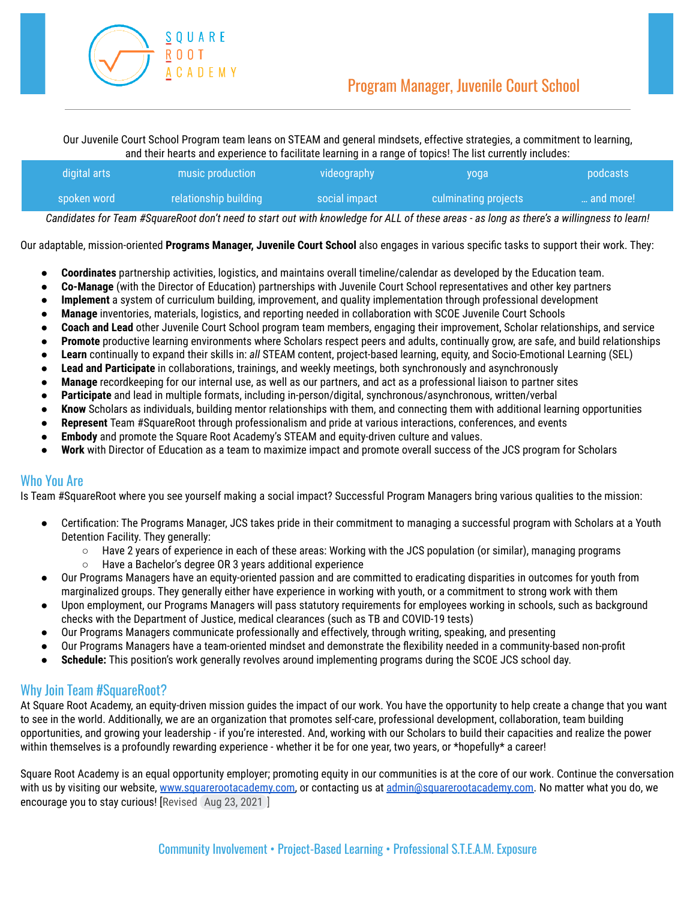

Our Juvenile Court School Program team leans on STEAM and general mindsets, effective strategies, a commitment to learning, and their hearts and experience to facilitate learning in a range of topics! The list currently includes:

| digital arts  | music production      | videography   | yoga                 | podcasts  |
|---------------|-----------------------|---------------|----------------------|-----------|
| ' spoken word | relationship building | social impact | culminating projects | and more! |

Candidates for Team #SquareRoot don't need to start out with knowledge for ALL of these areas - as long as there's a willingness to learn!

Our adaptable, mission-oriented **Programs Manager, Juvenile Court School** also engages in various specific tasks to support their work. They:

- **● Coordinates** partnership activities, logistics, and maintains overall timeline/calendar as developed by the Education team.
- **● Co-Manage** (with the Director of Education) partnerships with Juvenile Court School representatives and other key partners
- **● Implement** a system of curriculum building, improvement, and quality implementation through professional development
- **Manage** inventories, materials, logistics, and reporting needed in collaboration with SCOE Juvenile Court Schools
- **● Coach and Lead** other Juvenile Court School program team members, engaging their improvement, Scholar relationships, and service
- **Promote** productive learning environments where Scholars respect peers and adults, continually grow, are safe, and build relationships
- **Learn** continually to expand their skills in: *all* STEAM content, project-based learning, equity, and Socio-Emotional Learning (SEL)
- **Lead and Participate** in collaborations, trainings, and weekly meetings, both synchronously and asynchronously
- **Manage** recordkeeping for our internal use, as well as our partners, and act as a professional liaison to partner sites
- **Participate** and lead in multiple formats, including in-person/digital, synchronous/asynchronous, written/verbal
- **Know** Scholars as individuals, building mentor relationships with them, and connecting them with additional learning opportunities
- **Represent** Team #SquareRoot through professionalism and pride at various interactions, conferences, and events
- **Embody** and promote the Square Root Academy's STEAM and equity-driven culture and values.
- Work with Director of Education as a team to maximize impact and promote overall success of the JCS program for Scholars

#### Who You Are

Is Team #SquareRoot where you see yourself making a social impact? Successful Program Managers bring various qualities to the mission:

- Certification: The Programs Manager, JCS takes pride in their commitment to managing a successful program with Scholars at a Youth Detention Facility. They generally:
	- Have 2 years of experience in each of these areas: Working with the JCS population (or similar), managing programs
	- Have a Bachelor's degree OR 3 years additional experience
- Our Programs Managers have an equity-oriented passion and are committed to eradicating disparities in outcomes for youth from marginalized groups. They generally either have experience in working with youth, or a commitment to strong work with them
- Upon employment, our Programs Managers will pass statutory requirements for employees working in schools, such as background checks with the Department of Justice, medical clearances (such as TB and COVID-19 tests)
- Our Programs Managers communicate professionally and effectively, through writing, speaking, and presenting
- Our Programs Managers have a team-oriented mindset and demonstrate the flexibility needed in a community-based non-profit
- **Schedule:** This position's work generally revolves around implementing programs during the SCOE JCS school day.

### Why Join Team #SquareRoot?

At Square Root Academy, an equity-driven mission guides the impact of our work. You have the opportunity to help create a change that you want to see in the world. Additionally, we are an organization that promotes self-care, professional development, collaboration, team building opportunities, and growing your leadership - if you're interested. And, working with our Scholars to build their capacities and realize the power within themselves is a profoundly rewarding experience - whether it be for one year, two years, or \*hopefully\* a career!

Square Root Academy is an equal opportunity employer; promoting equity in our communities is at the core of our work. Continue the conversation with us by visiting our website, [www.squarerootacademy.com,](http://www.squarerootacademy.com) or contacting us at [admin@squarerootacademy.com.](mailto:admin@squarerootacademy.com) No matter what you do, we encourage you to stay curious! [Revised Aug 23, 2021 ]